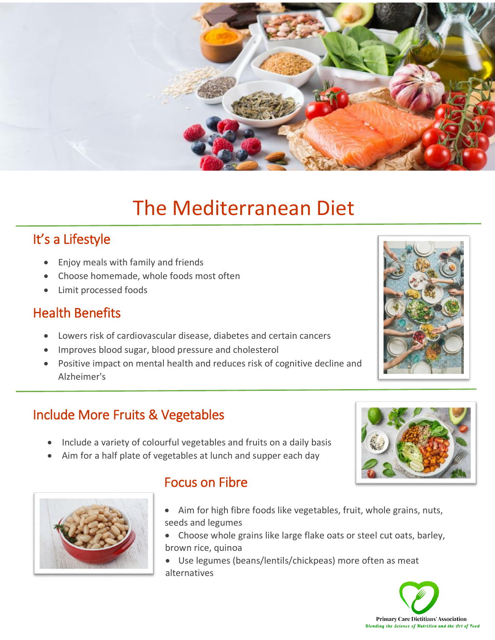

# The Mediterranean Diet

# It's a Lifestyle

- Enjoy meals with family and friends
- Choose homemade, whole foods most often
- Limit processed foods

### Health Benefits

Ï

- Lowers risk of cardiovascular disease, diabetes and certain cancers
- Improves blood sugar, blood pressure and cholesterol
- Positive impact on mental health and reduces risk of cognitive decline and Alzheimer's

#### Include More Fruits & Vegetables

- Include a variety of colourful vegetables and fruits on a daily basis
- Aim for a half plate of vegetables at lunch and supper each day



## Focus on Fibre

- Aim for high fibre foods like vegetables, fruit, whole grains, nuts, seeds and legumes
- Choose whole grains like large flake oats or steel cut oats, barley, brown rice, quinoa

 Use legumes (beans/lentils/chickpeas) more often as meat alternatives